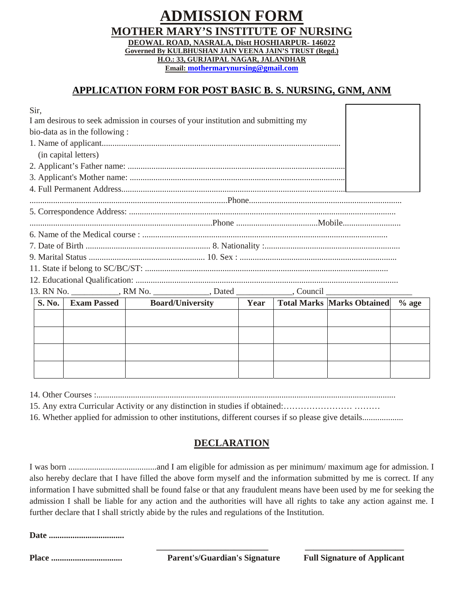### **ADMISSION FORM MOTHER MARY'S INSTITUTE OF NURSING DEOWAL ROAD, NASRALA, Distt HOSHIARPUR- 146022 Governed By KULBHUSHAN JAIN VEENA JAIN'S TRUST (Regd.) H.O.: 33, GURJAIPAL NAGAR, JALANDHAR Email: mothermarynursing@gmail.com**

# **APPLICATION FORM FOR POST BASIC B. S. NURSING, GNM, ANM**

| Sir,                                                                             |                                                                                  |  |  |                                            |         |
|----------------------------------------------------------------------------------|----------------------------------------------------------------------------------|--|--|--------------------------------------------|---------|
| I am desirous to seek admission in courses of your institution and submitting my |                                                                                  |  |  |                                            |         |
| bio-data as in the following :                                                   |                                                                                  |  |  |                                            |         |
|                                                                                  |                                                                                  |  |  |                                            |         |
| (in capital letters)                                                             |                                                                                  |  |  |                                            |         |
|                                                                                  |                                                                                  |  |  |                                            |         |
|                                                                                  |                                                                                  |  |  |                                            |         |
|                                                                                  |                                                                                  |  |  |                                            |         |
|                                                                                  |                                                                                  |  |  |                                            |         |
|                                                                                  |                                                                                  |  |  |                                            |         |
|                                                                                  |                                                                                  |  |  |                                            |         |
|                                                                                  |                                                                                  |  |  |                                            |         |
|                                                                                  |                                                                                  |  |  |                                            |         |
|                                                                                  |                                                                                  |  |  |                                            |         |
|                                                                                  |                                                                                  |  |  |                                            |         |
|                                                                                  |                                                                                  |  |  |                                            |         |
|                                                                                  | 13. RN No. ____________, RM No. _____________, Dated ____________, Council _____ |  |  |                                            |         |
| <b>S. No.</b><br><b>Exam Passed</b>                                              | <b>Board/University</b>                                                          |  |  | <b>Year</b>   Total Marks   Marks Obtained | $%$ age |
|                                                                                  |                                                                                  |  |  |                                            |         |
|                                                                                  |                                                                                  |  |  |                                            |         |
|                                                                                  |                                                                                  |  |  |                                            |         |
|                                                                                  |                                                                                  |  |  |                                            |         |
|                                                                                  |                                                                                  |  |  |                                            |         |
|                                                                                  |                                                                                  |  |  |                                            |         |

14. Other Courses :...........................................................................................................................................

15. Any extra Curricular Activity or any distinction in studies if obtained:…………………… ………

16. Whether applied for admission to other institutions, different courses if so please give details...................

## **DECLARATION**

I was born .........................................and I am eligible for admission as per minimum/ maximum age for admission. I also hereby declare that I have filled the above form myself and the information submitted by me is correct. If any information I have submitted shall be found false or that any fraudulent means have been used by me for seeking the admission I shall be liable for any action and the authorities will have all rights to take any action against me. I further declare that I shall strictly abide by the rules and regulations of the Institution.

**Date ...................................** 

**Place ................................. Parent's/Guardian's Signature Full Signature of Applicant**

 **\_\_\_\_\_\_\_\_\_\_\_\_\_\_\_\_\_\_\_\_\_\_\_\_\_\_ \_\_\_\_\_\_\_\_\_\_\_\_\_\_\_\_\_\_\_\_\_\_\_**